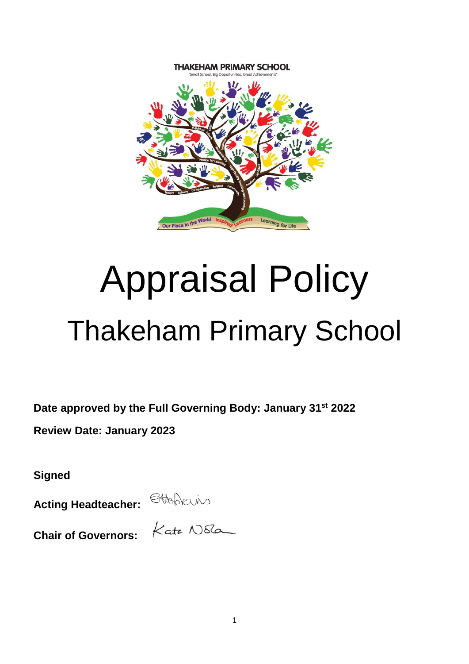

# Appraisal Policy Thakeham Primary School

**Date approved by the Full Governing Body: January 31st 2022**

**Review Date: January 2023**

**Signed**

**Acting Headteacher:**

**Chair of Governors:**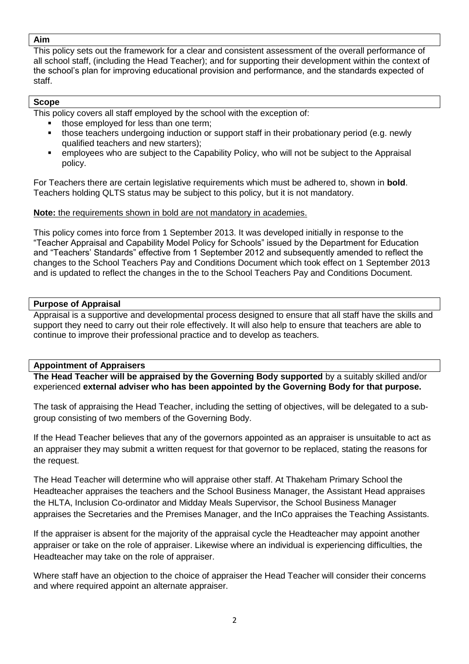## **Aim**

This policy sets out the framework for a clear and consistent assessment of the overall performance of all school staff, (including the Head Teacher); and for supporting their development within the context of the school's plan for improving educational provision and performance, and the standards expected of staff.

# **Scope**

This policy covers all staff employed by the school with the exception of:

- those employed for less than one term;
- those teachers undergoing induction or support staff in their probationary period (e.g. newly qualified teachers and new starters);
- employees who are subject to the Capability Policy, who will not be subject to the Appraisal policy.

For Teachers there are certain legislative requirements which must be adhered to, shown in **bold**. Teachers holding QLTS status may be subject to this policy, but it is not mandatory.

## **Note:** the requirements shown in bold are not mandatory in academies.

This policy comes into force from 1 September 2013. It was developed initially in response to the "Teacher Appraisal and Capability Model Policy for Schools" issued by the Department for Education and "Teachers' Standards" effective from 1 September 2012 and subsequently amended to reflect the changes to the School Teachers Pay and Conditions Document which took effect on 1 September 2013 and is updated to reflect the changes in the to the School Teachers Pay and Conditions Document.

# **Purpose of Appraisal**

Appraisal is a supportive and developmental process designed to ensure that all staff have the skills and support they need to carry out their role effectively. It will also help to ensure that teachers are able to continue to improve their professional practice and to develop as teachers.

# **Appointment of Appraisers**

**The Head Teacher will be appraised by the Governing Body supported** by a suitably skilled and/or experienced **external adviser who has been appointed by the Governing Body for that purpose.** 

The task of appraising the Head Teacher, including the setting of objectives, will be delegated to a subgroup consisting of two members of the Governing Body.

If the Head Teacher believes that any of the governors appointed as an appraiser is unsuitable to act as an appraiser they may submit a written request for that governor to be replaced, stating the reasons for the request.

The Head Teacher will determine who will appraise other staff. At Thakeham Primary School the Headteacher appraises the teachers and the School Business Manager, the Assistant Head appraises the HLTA, Inclusion Co-ordinator and Midday Meals Supervisor, the School Business Manager appraises the Secretaries and the Premises Manager, and the InCo appraises the Teaching Assistants.

If the appraiser is absent for the majority of the appraisal cycle the Headteacher may appoint another appraiser or take on the role of appraiser. Likewise where an individual is experiencing difficulties, the Headteacher may take on the role of appraiser.

Where staff have an objection to the choice of appraiser the Head Teacher will consider their concerns and where required appoint an alternate appraiser.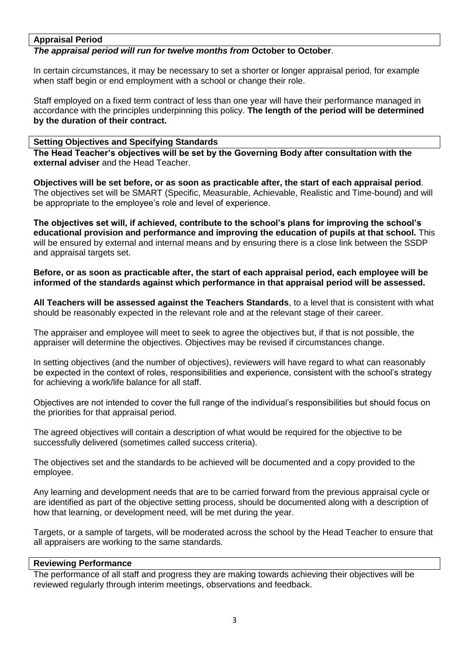## **Appraisal Period**

#### *The appraisal period will run for twelve months from* **October to October**.

In certain circumstances, it may be necessary to set a shorter or longer appraisal period, for example when staff begin or end employment with a school or change their role.

Staff employed on a fixed term contract of less than one year will have their performance managed in accordance with the principles underpinning this policy. **The length of the period will be determined by the duration of their contract.**

#### **Setting Objectives and Specifying Standards**

**The Head Teacher's objectives will be set by the Governing Body after consultation with the external adviser** and the Head Teacher.

**Objectives will be set before, or as soon as practicable after, the start of each appraisal period***.* The objectives set will be SMART (Specific, Measurable, Achievable, Realistic and Time-bound) and will be appropriate to the employee's role and level of experience.

**The objectives set will, if achieved, contribute to the school's plans for improving the school's educational provision and performance and improving the education of pupils at that school.** This will be ensured by external and internal means and by ensuring there is a close link between the SSDP and appraisal targets set.

**Before, or as soon as practicable after, the start of each appraisal period, each employee will be informed of the standards against which performance in that appraisal period will be assessed.** 

**All Teachers will be assessed against the Teachers Standards**, to a level that is consistent with what should be reasonably expected in the relevant role and at the relevant stage of their career.

The appraiser and employee will meet to seek to agree the objectives but, if that is not possible, the appraiser will determine the objectives. Objectives may be revised if circumstances change.

In setting objectives (and the number of objectives), reviewers will have regard to what can reasonably be expected in the context of roles, responsibilities and experience, consistent with the school's strategy for achieving a work/life balance for all staff.

Objectives are not intended to cover the full range of the individual's responsibilities but should focus on the priorities for that appraisal period.

The agreed objectives will contain a description of what would be required for the objective to be successfully delivered (sometimes called success criteria).

The objectives set and the standards to be achieved will be documented and a copy provided to the employee.

Any learning and development needs that are to be carried forward from the previous appraisal cycle or are identified as part of the objective setting process, should be documented along with a description of how that learning, or development need, will be met during the year.

Targets, or a sample of targets, will be moderated across the school by the Head Teacher to ensure that all appraisers are working to the same standards.

#### **Reviewing Performance**

The performance of all staff and progress they are making towards achieving their objectives will be reviewed regularly through interim meetings, observations and feedback.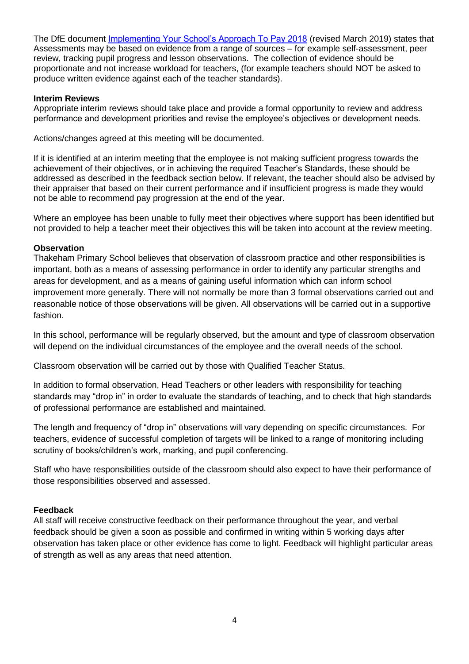The DfE document [Implementing Your School's Approach To Pay 2018](https://assets.publishing.service.gov.uk/government/uploads/system/uploads/attachment_data/file/740578/Implementing_your_approach_to_pay_advice_2018.pdf) (revised March 2019) states that Assessments may be based on evidence from a range of sources – for example self-assessment, peer review, tracking pupil progress and lesson observations. The collection of evidence should be proportionate and not increase workload for teachers, (for example teachers should NOT be asked to produce written evidence against each of the teacher standards).

# **Interim Reviews**

Appropriate interim reviews should take place and provide a formal opportunity to review and address performance and development priorities and revise the employee's objectives or development needs.

Actions/changes agreed at this meeting will be documented.

If it is identified at an interim meeting that the employee is not making sufficient progress towards the achievement of their objectives, or in achieving the required Teacher's Standards, these should be addressed as described in the feedback section below. If relevant, the teacher should also be advised by their appraiser that based on their current performance and if insufficient progress is made they would not be able to recommend pay progression at the end of the year.

Where an employee has been unable to fully meet their objectives where support has been identified but not provided to help a teacher meet their objectives this will be taken into account at the review meeting.

# **Observation**

Thakeham Primary School believes that observation of classroom practice and other responsibilities is important, both as a means of assessing performance in order to identify any particular strengths and areas for development, and as a means of gaining useful information which can inform school improvement more generally. There will not normally be more than 3 formal observations carried out and reasonable notice of those observations will be given. All observations will be carried out in a supportive fashion.

In this school, performance will be regularly observed, but the amount and type of classroom observation will depend on the individual circumstances of the employee and the overall needs of the school.

Classroom observation will be carried out by those with Qualified Teacher Status.

In addition to formal observation, Head Teachers or other leaders with responsibility for teaching standards may "drop in" in order to evaluate the standards of teaching, and to check that high standards of professional performance are established and maintained.

The length and frequency of "drop in" observations will vary depending on specific circumstances. For teachers, evidence of successful completion of targets will be linked to a range of monitoring including scrutiny of books/children's work, marking, and pupil conferencing.

Staff who have responsibilities outside of the classroom should also expect to have their performance of those responsibilities observed and assessed.

## **Feedback**

All staff will receive constructive feedback on their performance throughout the year, and verbal feedback should be given a soon as possible and confirmed in writing within 5 working days after observation has taken place or other evidence has come to light. Feedback will highlight particular areas of strength as well as any areas that need attention.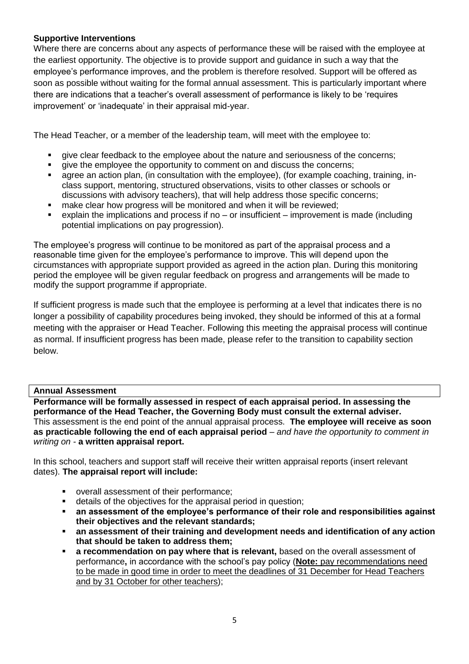# **Supportive Interventions**

Where there are concerns about any aspects of performance these will be raised with the employee at the earliest opportunity. The objective is to provide support and guidance in such a way that the employee's performance improves, and the problem is therefore resolved. Support will be offered as soon as possible without waiting for the formal annual assessment. This is particularly important where there are indications that a teacher's overall assessment of performance is likely to be 'requires improvement' or 'inadequate' in their appraisal mid-year.

The Head Teacher, or a member of the leadership team, will meet with the employee to:

- give clear feedback to the employee about the nature and seriousness of the concerns;
- qive the employee the opportunity to comment on and discuss the concerns;
- agree an action plan, (in consultation with the employee), (for example coaching, training, inclass support, mentoring, structured observations, visits to other classes or schools or discussions with advisory teachers), that will help address those specific concerns;
- make clear how progress will be monitored and when it will be reviewed;
- explain the implications and process if no or insufficient improvement is made (including potential implications on pay progression).

The employee's progress will continue to be monitored as part of the appraisal process and a reasonable time given for the employee's performance to improve. This will depend upon the circumstances with appropriate support provided as agreed in the action plan. During this monitoring period the employee will be given regular feedback on progress and arrangements will be made to modify the support programme if appropriate.

If sufficient progress is made such that the employee is performing at a level that indicates there is no longer a possibility of capability procedures being invoked, they should be informed of this at a formal meeting with the appraiser or Head Teacher. Following this meeting the appraisal process will continue as normal. If insufficient progress has been made, please refer to the transition to capability section below.

## **Annual Assessment**

**Performance will be formally assessed in respect of each appraisal period. In assessing the performance of the Head Teacher, the Governing Body must consult the external adviser.**  This assessment is the end point of the annual appraisal process. **The employee will receive as soon as practicable following the end of each appraisal period** *– and have the opportunity to comment in writing on -* **a written appraisal report.**

In this school, teachers and support staff will receive their written appraisal reports (insert relevant dates). **The appraisal report will include:** 

- overall assessment of their performance;
- details of the objectives for the appraisal period in question;
- **an assessment of the employee's performance of their role and responsibilities against their objectives and the relevant standards;**
- **an assessment of their training and development needs and identification of any action that should be taken to address them;**
- **a recommendation on pay where that is relevant,** based on the overall assessment of performance**,** in accordance with the school's pay policy (**Note:** pay recommendations need to be made in good time in order to meet the deadlines of 31 December for Head Teachers and by 31 October for other teachers);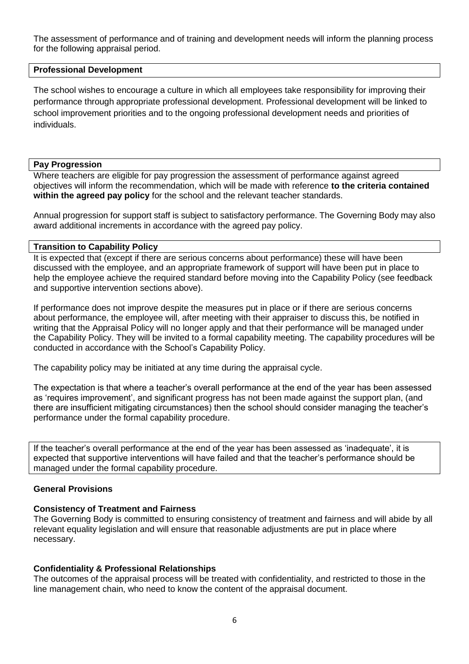The assessment of performance and of training and development needs will inform the planning process for the following appraisal period.

#### **Professional Development**

The school wishes to encourage a culture in which all employees take responsibility for improving their performance through appropriate professional development. Professional development will be linked to school improvement priorities and to the ongoing professional development needs and priorities of individuals.

#### **Pay Progression**

Where teachers are eligible for pay progression the assessment of performance against agreed objectives will inform the recommendation, which will be made with reference **to the criteria contained within the agreed pay policy** for the school and the relevant teacher standards.

Annual progression for support staff is subject to satisfactory performance. The Governing Body may also award additional increments in accordance with the agreed pay policy.

## **Transition to Capability Policy**

It is expected that (except if there are serious concerns about performance) these will have been discussed with the employee, and an appropriate framework of support will have been put in place to help the employee achieve the required standard before moving into the Capability Policy (see feedback and supportive intervention sections above).

If performance does not improve despite the measures put in place or if there are serious concerns about performance, the employee will, after meeting with their appraiser to discuss this, be notified in writing that the Appraisal Policy will no longer apply and that their performance will be managed under the Capability Policy. They will be invited to a formal capability meeting. The capability procedures will be conducted in accordance with the School's Capability Policy.

The capability policy may be initiated at any time during the appraisal cycle.

The expectation is that where a teacher's overall performance at the end of the year has been assessed as 'requires improvement', and significant progress has not been made against the support plan, (and there are insufficient mitigating circumstances) then the school should consider managing the teacher's performance under the formal capability procedure.

If the teacher's overall performance at the end of the year has been assessed as 'inadequate', it is expected that supportive interventions will have failed and that the teacher's performance should be managed under the formal capability procedure.

## **General Provisions**

## **Consistency of Treatment and Fairness**

The Governing Body is committed to ensuring consistency of treatment and fairness and will abide by all relevant equality legislation and will ensure that reasonable adjustments are put in place where necessary.

## **Confidentiality & Professional Relationships**

The outcomes of the appraisal process will be treated with confidentiality, and restricted to those in the line management chain, who need to know the content of the appraisal document.